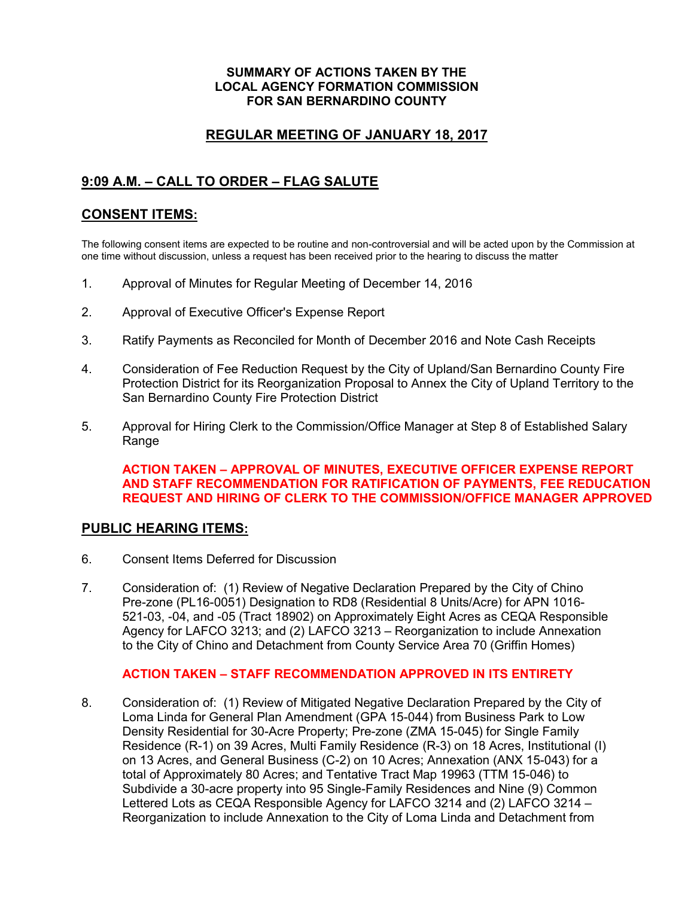#### **SUMMARY OF ACTIONS TAKEN BY THE LOCAL AGENCY FORMATION COMMISSION FOR SAN BERNARDINO COUNTY**

# **REGULAR MEETING OF JANUARY 18, 2017**

# **9:09 A.M. – CALL TO ORDER – FLAG SALUTE**

# **CONSENT ITEMS:**

The following consent items are expected to be routine and non-controversial and will be acted upon by the Commission at one time without discussion, unless a request has been received prior to the hearing to discuss the matter

- 1. Approval of Minutes for Regular Meeting of December 14, 2016
- 2. Approval of Executive Officer's Expense Report
- 3. Ratify Payments as Reconciled for Month of December 2016 and Note Cash Receipts
- 4. Consideration of Fee Reduction Request by the City of Upland/San Bernardino County Fire Protection District for its Reorganization Proposal to Annex the City of Upland Territory to the San Bernardino County Fire Protection District
- 5. Approval for Hiring Clerk to the Commission/Office Manager at Step 8 of Established Salary Range

#### **ACTION TAKEN – APPROVAL OF MINUTES, EXECUTIVE OFFICER EXPENSE REPORT AND STAFF RECOMMENDATION FOR RATIFICATION OF PAYMENTS, FEE REDUCATION REQUEST AND HIRING OF CLERK TO THE COMMISSION/OFFICE MANAGER APPROVED**

#### **PUBLIC HEARING ITEMS:**

- 6. Consent Items Deferred for Discussion
- 7. Consideration of: (1) Review of Negative Declaration Prepared by the City of Chino Pre-zone (PL16-0051) Designation to RD8 (Residential 8 Units/Acre) for APN 1016- 521-03, -04, and -05 (Tract 18902) on Approximately Eight Acres as CEQA Responsible Agency for LAFCO 3213; and (2) LAFCO 3213 – Reorganization to include Annexation to the City of Chino and Detachment from County Service Area 70 (Griffin Homes)

#### **ACTION TAKEN – STAFF RECOMMENDATION APPROVED IN ITS ENTIRETY**

8. Consideration of: (1) Review of Mitigated Negative Declaration Prepared by the City of Loma Linda for General Plan Amendment (GPA 15-044) from Business Park to Low Density Residential for 30-Acre Property; Pre-zone (ZMA 15-045) for Single Family Residence (R-1) on 39 Acres, Multi Family Residence (R-3) on 18 Acres, Institutional (I) on 13 Acres, and General Business (C-2) on 10 Acres; Annexation (ANX 15-043) for a total of Approximately 80 Acres; and Tentative Tract Map 19963 (TTM 15-046) to Subdivide a 30-acre property into 95 Single-Family Residences and Nine (9) Common Lettered Lots as CEQA Responsible Agency for LAFCO 3214 and (2) LAFCO 3214 – Reorganization to include Annexation to the City of Loma Linda and Detachment from